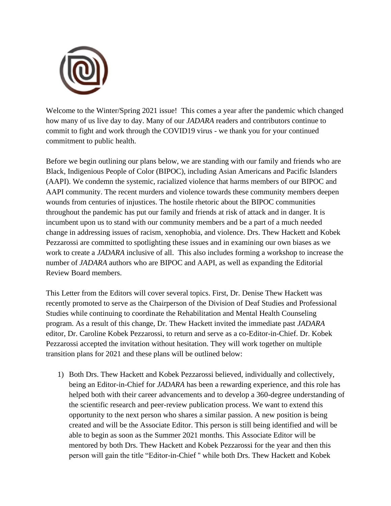

Welcome to the Winter/Spring 2021 issue! This comes a year after the pandemic which changed how many of us live day to day. Many of our *JADARA* readers and contributors continue to commit to fight and work through the COVID19 virus - we thank you for your continued commitment to public health.

Before we begin outlining our plans below, we are standing with our family and friends who are Black, Indigenious People of Color (BIPOC), including Asian Americans and Pacific Islanders (AAPI). We condemn the systemic, racialized violence that harms members of our BIPOC and AAPI community. The recent murders and violence towards these community members deepen wounds from centuries of injustices. The hostile rhetoric about the BIPOC communities throughout the pandemic has put our family and friends at risk of attack and in danger. It is incumbent upon us to stand with our community members and be a part of a much needed change in addressing issues of racism, xenophobia, and violence. Drs. Thew Hackett and Kobek Pezzarossi are committed to spotlighting these issues and in examining our own biases as we work to create a *JADARA* inclusive of all. This also includes forming a workshop to increase the number of *JADARA* authors who are BIPOC and AAPI, as well as expanding the Editorial Review Board members.

This Letter from the Editors will cover several topics. First, Dr. Denise Thew Hackett was recently promoted to serve as the Chairperson of the Division of Deaf Studies and Professional Studies while continuing to coordinate the Rehabilitation and Mental Health Counseling program. As a result of this change, Dr. Thew Hackett invited the immediate past *JADARA* editor, Dr. Caroline Kobek Pezzarossi, to return and serve as a co-Editor-in-Chief. Dr. Kobek Pezzarossi accepted the invitation without hesitation. They will work together on multiple transition plans for 2021 and these plans will be outlined below:

1) Both Drs. Thew Hackett and Kobek Pezzarossi believed, individually and collectively, being an Editor-in-Chief for *JADARA* has been a rewarding experience, and this role has helped both with their career advancements and to develop a 360-degree understanding of the scientific research and peer-review publication process. We want to extend this opportunity to the next person who shares a similar passion. A new position is being created and will be the Associate Editor. This person is still being identified and will be able to begin as soon as the Summer 2021 months. This Associate Editor will be mentored by both Drs. Thew Hackett and Kobek Pezzarossi for the year and then this person will gain the title "Editor-in-Chief '' while both Drs. Thew Hackett and Kobek